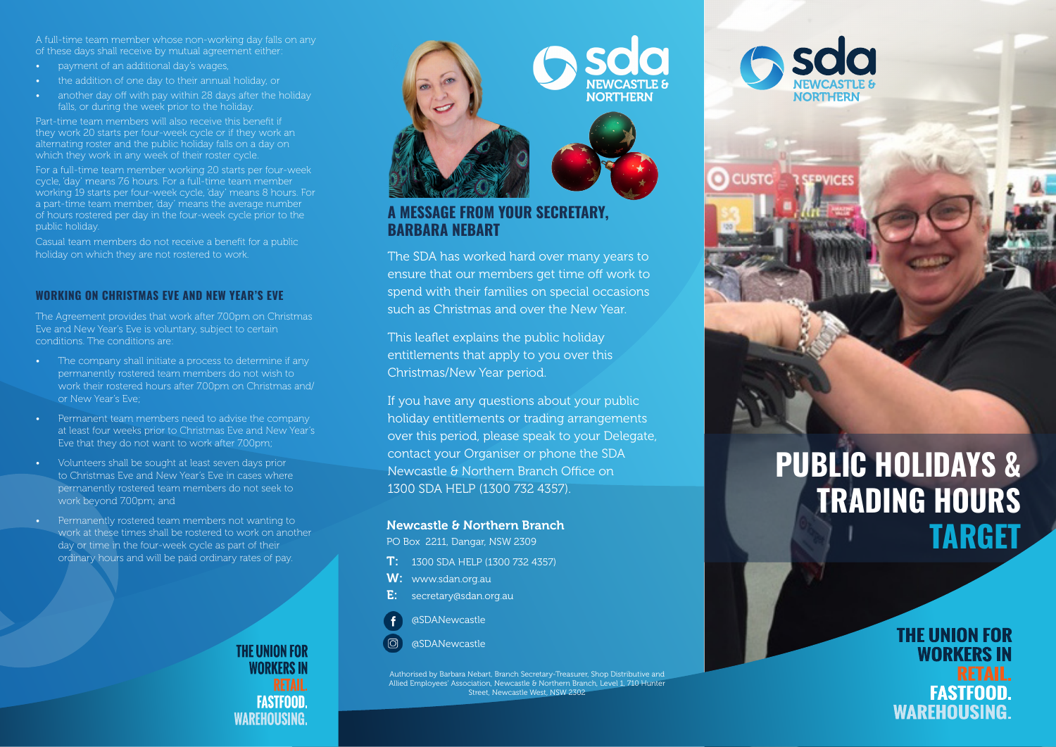A full-time team member whose non-working day falls on any of these days shall receive by mutual agreement either:

- payment of an additional day's wages,
- the addition of one day to their annual holiday, or
- another day off with pay within 28 days after the holiday

Part-time team members will also receive this benefit if they work 20 starts per four-week cycle or if they work an alternating roster and the public holiday falls on a day on which they work in any week of their roster cycle.

For a full-time team member working 20 starts per four-week cycle, 'day' means 7.6 hours. For a full-time team member working 19 starts per four-week cycle, 'day' means 8 hours. For a part-time team member, 'day' means the average number of hours rostered per day in the four-week cycle prior to the public holiday.

Casual team members do not receive a benefit for a public holiday on which they are not rostered to work.

#### **WORKING ON CHRISTMAS EVE AND NEW YEAR'S EVE**

The Agreement provides that work after 7.00pm on Christmas Eve and New Year's Eve is voluntary, subject to certain conditions. The conditions are:

- The company shall initiate a process to determine if any permanently rostered team members do not wish to work their rostered hours after 700pm on Christmas and/ or New Year's Eve;
- Permanent team members need to advise the company at least four weeks prior to Christmas Eve and New Year's Eve that they do not want to work after 7.00pm;
- Volunteers shall be sought at least seven days prior to Christmas Eve and New Year's Eve in cases where permanently rostered team members do not seek to work beyond 7.00pm; and
- Permanently rostered team members not wanting to work at these times shall be rostered to work on another day or time in the four-week cycle as part of their ordinary hours and will be paid ordinary rates of pay.

**THE UNION FOR WORKERS IN FASTFOOD WAREHOUSING.** 



**O** CUSTO

IСE

## **A MESSAGE FROM YOUR SECRETARY, BARBARA NEBART**

The SDA has worked hard over many years to ensure that our members get time off work to spend with their families on special occasions such as Christmas and over the New Year.

This leaflet explains the public holiday entitlements that apply to you over this Christmas/New Year period.

If you have any questions about your public holiday entitlements or trading arrangements over this period, please speak to your Delegate, contact your Organiser or phone the SDA Newcastle & Northern Branch Office on 1300 SDA HELP (1300 732 4357).

#### Newcastle & Northern Branch

PO Box 2211, Dangar, NSW 2309

- T: 1300 SDA HELP (1300 732 4357)
- W: www.sdan.org.au
- E: secretary@sdan.org.au



 $\sigma$ @SDANewcastle

Authorised by Barbara Nebart, Branch Secretary-Treasurer, Shop Distributive and Allied Employees' Association, Newcastle & Northern Branch, Level 1, 710 Hunter Street, Newcastle West, NSW 2302

# **PUBLIC HOLIDAYS & TRADING HOURS TARGET**